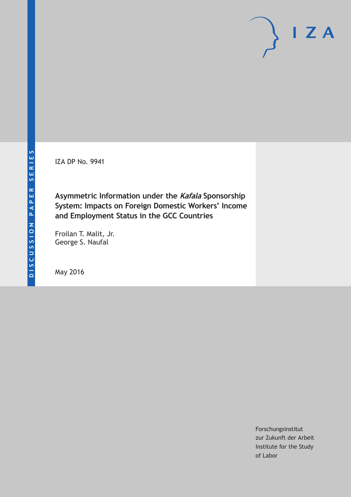IZA DP No. 9941

**Asymmetric Information under the Kafala Sponsorship System: Impacts on Foreign Domestic Workers' Income and Employment Status in the GCC Countries**

Froilan T. Malit, Jr. George S. Naufal

May 2016

Forschungsinstitut zur Zukunft der Arbeit Institute for the Study of Labor

 $I Z A$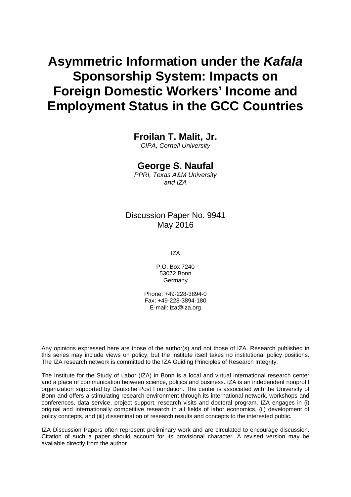# **Asymmetric Information under the** *Kafala* **Sponsorship System: Impacts on Foreign Domestic Workers' Income and Employment Status in the GCC Countries**

## **Froilan T. Malit, Jr.**

*CIPA, Cornell University* 

## **George S. Naufal**

*PPRI, Texas A&M University and IZA* 

## Discussion Paper No. 9941 May 2016

IZA

P.O. Box 7240 53072 Bonn Germany

Phone: +49-228-3894-0 Fax: +49-228-3894-180 E-mail: iza@iza.org

Any opinions expressed here are those of the author(s) and not those of IZA. Research published in this series may include views on policy, but the institute itself takes no institutional policy positions. The IZA research network is committed to the IZA Guiding Principles of Research Integrity.

The Institute for the Study of Labor (IZA) in Bonn is a local and virtual international research center and a place of communication between science, politics and business. IZA is an independent nonprofit organization supported by Deutsche Post Foundation. The center is associated with the University of Bonn and offers a stimulating research environment through its international network, workshops and conferences, data service, project support, research visits and doctoral program. IZA engages in (i) original and internationally competitive research in all fields of labor economics, (ii) development of policy concepts, and (iii) dissemination of research results and concepts to the interested public.

IZA Discussion Papers often represent preliminary work and are circulated to encourage discussion. Citation of such a paper should account for its provisional character. A revised version may be available directly from the author.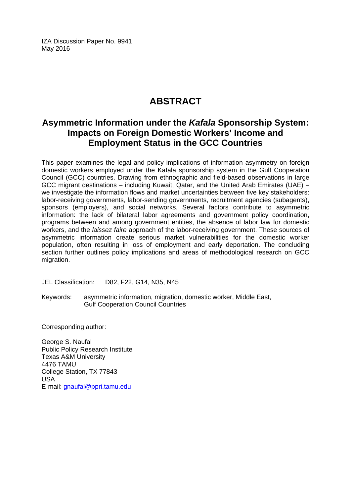IZA Discussion Paper No. 9941 May 2016

## **ABSTRACT**

## **Asymmetric Information under the** *Kafala* **Sponsorship System: Impacts on Foreign Domestic Workers' Income and Employment Status in the GCC Countries**

This paper examines the legal and policy implications of information asymmetry on foreign domestic workers employed under the Kafala sponsorship system in the Gulf Cooperation Council (GCC) countries. Drawing from ethnographic and field-based observations in large GCC migrant destinations – including Kuwait, Qatar, and the United Arab Emirates (UAE) – we investigate the information flows and market uncertainties between five key stakeholders: labor-receiving governments, labor-sending governments, recruitment agencies (subagents), sponsors (employers), and social networks. Several factors contribute to asymmetric information: the lack of bilateral labor agreements and government policy coordination, programs between and among government entities, the absence of labor law for domestic workers, and the *laissez faire* approach of the labor-receiving government. These sources of asymmetric information create serious market vulnerabilities for the domestic worker population, often resulting in loss of employment and early deportation. The concluding section further outlines policy implications and areas of methodological research on GCC migration.

JEL Classification: D82, F22, G14, N35, N45

Keywords: asymmetric information, migration, domestic worker, Middle East, Gulf Cooperation Council Countries

Corresponding author:

George S. Naufal Public Policy Research Institute Texas A&M University 4476 TAMU College Station, TX 77843 USA E-mail: gnaufal@ppri.tamu.edu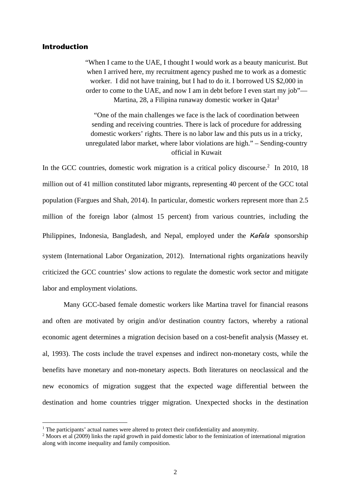## **Introduction**

1

"When I came to the UAE, I thought I would work as a beauty manicurist. But when I arrived here, my recruitment agency pushed me to work as a domestic worker. I did not have training, but I had to do it. I borrowed US \$2,000 in order to come to the UAE, and now I am in debt before I even start my job"— Martina, 28, a Filipina runaway domestic worker in Qatar<sup>1</sup>

"One of the main challenges we face is the lack of coordination between sending and receiving countries. There is lack of procedure for addressing domestic workers' rights. There is no labor law and this puts us in a tricky, unregulated labor market, where labor violations are high." – Sending-country official in Kuwait

In the GCC countries, domestic work migration is a critical policy discourse.<sup>2</sup> In 2010, 18 million out of 41 million constituted labor migrants, representing 40 percent of the GCC total population (Fargues and Shah, 2014). In particular, domestic workers represent more than 2.5 million of the foreign labor (almost 15 percent) from various countries, including the Philippines, Indonesia, Bangladesh, and Nepal, employed under the *Kafala* sponsorship system (International Labor Organization, 2012). International rights organizations heavily criticized the GCC countries' slow actions to regulate the domestic work sector and mitigate labor and employment violations.

Many GCC-based female domestic workers like Martina travel for financial reasons and often are motivated by origin and/or destination country factors, whereby a rational economic agent determines a migration decision based on a cost-benefit analysis (Massey et. al, 1993). The costs include the travel expenses and indirect non-monetary costs, while the benefits have monetary and non-monetary aspects. Both literatures on neoclassical and the new economics of migration suggest that the expected wage differential between the destination and home countries trigger migration. Unexpected shocks in the destination

<sup>&</sup>lt;sup>1</sup> The participants' actual names were altered to protect their confidentiality and anonymity.

<sup>&</sup>lt;sup>2</sup> Moors et al (2009) links the rapid growth in paid domestic labor to the feminization of international migration along with income inequality and family composition.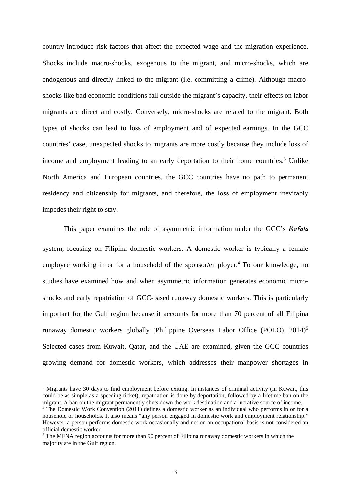country introduce risk factors that affect the expected wage and the migration experience. Shocks include macro-shocks, exogenous to the migrant, and micro-shocks, which are endogenous and directly linked to the migrant (i.e. committing a crime). Although macroshocks like bad economic conditions fall outside the migrant's capacity, their effects on labor migrants are direct and costly. Conversely, micro-shocks are related to the migrant. Both types of shocks can lead to loss of employment and of expected earnings. In the GCC countries' case, unexpected shocks to migrants are more costly because they include loss of income and employment leading to an early deportation to their home countries.<sup>3</sup> Unlike North America and European countries, the GCC countries have no path to permanent residency and citizenship for migrants, and therefore, the loss of employment inevitably impedes their right to stay.

This paper examines the role of asymmetric information under the GCC's Kafala system, focusing on Filipina domestic workers. A domestic worker is typically a female employee working in or for a household of the sponsor/employer.<sup>4</sup> To our knowledge, no studies have examined how and when asymmetric information generates economic microshocks and early repatriation of GCC-based runaway domestic workers. This is particularly important for the Gulf region because it accounts for more than 70 percent of all Filipina runaway domestic workers globally (Philippine Overseas Labor Office (POLO),  $2014$ <sup>5</sup> Selected cases from Kuwait, Qatar, and the UAE are examined, given the GCC countries growing demand for domestic workers, which addresses their manpower shortages in

<u>.</u>

<sup>&</sup>lt;sup>3</sup> Migrants have 30 days to find employment before exiting. In instances of criminal activity (in Kuwait, this could be as simple as a speeding ticket), repatriation is done by deportation, followed by a lifetime ban on the migrant. A ban on the migrant permanently shuts down the work destination and a lucrative source of income.

<sup>&</sup>lt;sup>4</sup> The Domestic Work Convention (2011) defines a domestic worker as an individual who performs in or for a household or households. It also means "any person engaged in domestic work and employment relationship." However, a person performs domestic work occasionally and not on an occupational basis is not considered an official domestic worker.

<sup>&</sup>lt;sup>5</sup> The MENA region accounts for more than 90 percent of Filipina runaway domestic workers in which the majority are in the Gulf region.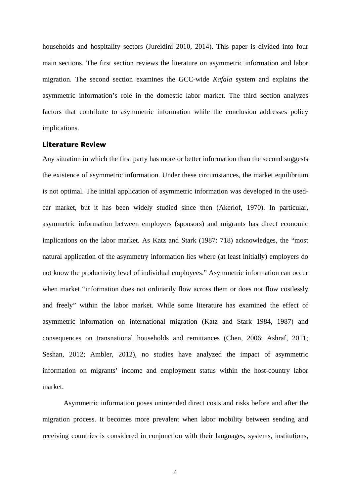households and hospitality sectors (Jureidini 2010, 2014). This paper is divided into four main sections. The first section reviews the literature on asymmetric information and labor migration. The second section examines the GCC-wide *Kafala* system and explains the asymmetric information's role in the domestic labor market. The third section analyzes factors that contribute to asymmetric information while the conclusion addresses policy implications.

#### **Literature Review**

Any situation in which the first party has more or better information than the second suggests the existence of asymmetric information. Under these circumstances, the market equilibrium is not optimal. The initial application of asymmetric information was developed in the usedcar market, but it has been widely studied since then (Akerlof, 1970). In particular, asymmetric information between employers (sponsors) and migrants has direct economic implications on the labor market. As Katz and Stark (1987: 718) acknowledges, the "most natural application of the asymmetry information lies where (at least initially) employers do not know the productivity level of individual employees." Asymmetric information can occur when market "information does not ordinarily flow across them or does not flow costlessly and freely" within the labor market. While some literature has examined the effect of asymmetric information on international migration (Katz and Stark 1984, 1987) and consequences on transnational households and remittances (Chen, 2006; Ashraf, 2011; Seshan, 2012; Ambler, 2012), no studies have analyzed the impact of asymmetric information on migrants' income and employment status within the host-country labor market.

Asymmetric information poses unintended direct costs and risks before and after the migration process. It becomes more prevalent when labor mobility between sending and receiving countries is considered in conjunction with their languages, systems, institutions,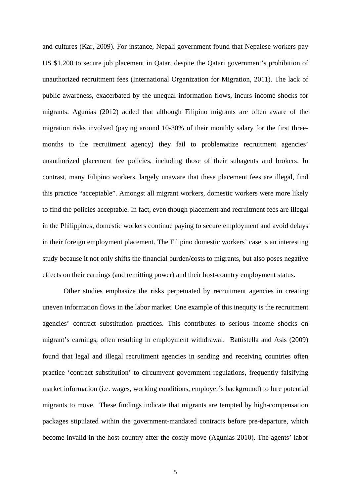and cultures (Kar, 2009). For instance, Nepali government found that Nepalese workers pay US \$1,200 to secure job placement in Qatar, despite the Qatari government's prohibition of unauthorized recruitment fees (International Organization for Migration, 2011). The lack of public awareness, exacerbated by the unequal information flows, incurs income shocks for migrants. Agunias (2012) added that although Filipino migrants are often aware of the migration risks involved (paying around 10-30% of their monthly salary for the first threemonths to the recruitment agency) they fail to problematize recruitment agencies' unauthorized placement fee policies, including those of their subagents and brokers. In contrast, many Filipino workers, largely unaware that these placement fees are illegal, find this practice "acceptable". Amongst all migrant workers, domestic workers were more likely to find the policies acceptable. In fact, even though placement and recruitment fees are illegal in the Philippines, domestic workers continue paying to secure employment and avoid delays in their foreign employment placement. The Filipino domestic workers' case is an interesting study because it not only shifts the financial burden/costs to migrants, but also poses negative effects on their earnings (and remitting power) and their host-country employment status.

Other studies emphasize the risks perpetuated by recruitment agencies in creating uneven information flows in the labor market. One example of this inequity is the recruitment agencies' contract substitution practices. This contributes to serious income shocks on migrant's earnings, often resulting in employment withdrawal. Battistella and Asis (2009) found that legal and illegal recruitment agencies in sending and receiving countries often practice 'contract substitution' to circumvent government regulations, frequently falsifying market information (i.e. wages, working conditions, employer's background) to lure potential migrants to move. These findings indicate that migrants are tempted by high-compensation packages stipulated within the government-mandated contracts before pre-departure, which become invalid in the host-country after the costly move (Agunias 2010). The agents' labor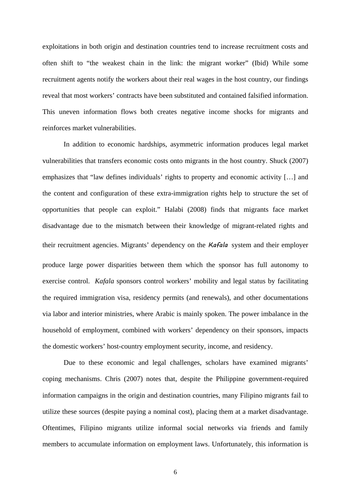exploitations in both origin and destination countries tend to increase recruitment costs and often shift to "the weakest chain in the link: the migrant worker" (Ibid) While some recruitment agents notify the workers about their real wages in the host country, our findings reveal that most workers' contracts have been substituted and contained falsified information. This uneven information flows both creates negative income shocks for migrants and reinforces market vulnerabilities.

In addition to economic hardships, asymmetric information produces legal market vulnerabilities that transfers economic costs onto migrants in the host country. Shuck (2007) emphasizes that "law defines individuals' rights to property and economic activity […] and the content and configuration of these extra-immigration rights help to structure the set of opportunities that people can exploit." Halabi (2008) finds that migrants face market disadvantage due to the mismatch between their knowledge of migrant-related rights and their recruitment agencies. Migrants' dependency on the Kafala system and their employer produce large power disparities between them which the sponsor has full autonomy to exercise control. *Kafala* sponsors control workers' mobility and legal status by facilitating the required immigration visa, residency permits (and renewals), and other documentations via labor and interior ministries, where Arabic is mainly spoken. The power imbalance in the household of employment, combined with workers' dependency on their sponsors, impacts the domestic workers' host-country employment security, income, and residency.

Due to these economic and legal challenges, scholars have examined migrants' coping mechanisms. Chris (2007) notes that, despite the Philippine government-required information campaigns in the origin and destination countries, many Filipino migrants fail to utilize these sources (despite paying a nominal cost), placing them at a market disadvantage. Oftentimes, Filipino migrants utilize informal social networks via friends and family members to accumulate information on employment laws. Unfortunately, this information is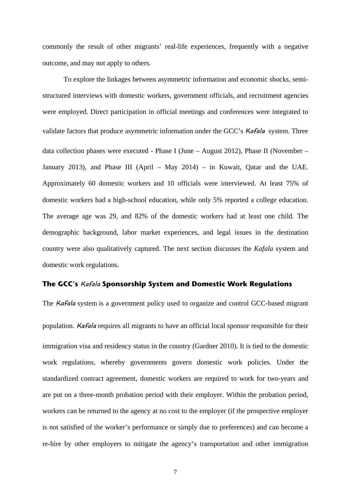commonly the result of other migrants' real-life experiences, frequently with a negative outcome, and may not apply to others.

To explore the linkages between asymmetric information and economic shocks, semistructured interviews with domestic workers, government officials, and recruitment agencies were employed. Direct participation in official meetings and conferences were integrated to validate factors that produce asymmetric information under the GCC's Kafala system. Three data collection phases were executed - Phase I (June – August 2012), Phase II (November – January 2013), and Phase III (April – May 2014) – in Kuwait, Qatar and the UAE. Approximately 60 domestic workers and 10 officials were interviewed. At least 75% of domestic workers had a high-school education, while only 5% reported a college education. The average age was 29, and 82% of the domestic workers had at least one child. The demographic background, labor market experiences, and legal issues in the destination country were also qualitatively captured. The next section discusses the *Kafala* system and domestic work regulations.

## **The GCC's** Kafala **Sponsorship System and Domestic Work Regulations**

The Kafala system is a government policy used to organize and control GCC-based migrant population. Kafala requires all migrants to have an official local sponsor responsible for their immigration visa and residency status in the country (Gardner 2010). It is tied to the domestic work regulations, whereby governments govern domestic work policies. Under the standardized contract agreement, domestic workers are required to work for two-years and are put on a three-month probation period with their employer. Within the probation period, workers can be returned to the agency at no cost to the employer (if the prospective employer is not satisfied of the worker's performance or simply due to preferences) and can become a re-hire by other employers to mitigate the agency's transportation and other immigration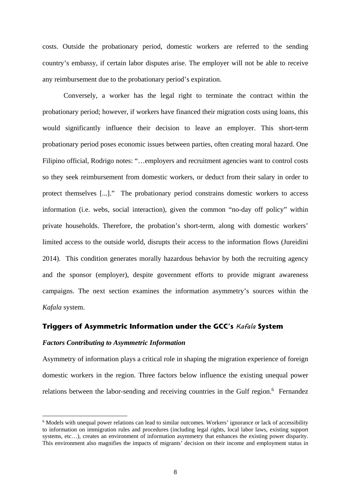costs. Outside the probationary period, domestic workers are referred to the sending country's embassy, if certain labor disputes arise. The employer will not be able to receive any reimbursement due to the probationary period's expiration.

Conversely, a worker has the legal right to terminate the contract within the probationary period; however, if workers have financed their migration costs using loans, this would significantly influence their decision to leave an employer. This short-term probationary period poses economic issues between parties, often creating moral hazard. One Filipino official, Rodrigo notes: "…employers and recruitment agencies want to control costs so they seek reimbursement from domestic workers, or deduct from their salary in order to protect themselves [...]." The probationary period constrains domestic workers to access information (i.e. webs, social interaction), given the common "no-day off policy" within private households. Therefore, the probation's short-term, along with domestic workers' limited access to the outside world, disrupts their access to the information flows (Jureidini 2014). This condition generates morally hazardous behavior by both the recruiting agency and the sponsor (employer), despite government efforts to provide migrant awareness campaigns. The next section examines the information asymmetry's sources within the *Kafala* system.

## **Triggers of Asymmetric Information under the GCC's** Kafala **System**

#### *Factors Contributing to Asymmetric Information*

1

Asymmetry of information plays a critical role in shaping the migration experience of foreign domestic workers in the region. Three factors below influence the existing unequal power relations between the labor-sending and receiving countries in the Gulf region.<sup>6</sup> Fernandez

<sup>&</sup>lt;sup>6</sup> Models with unequal power relations can lead to similar outcomes. Workers' ignorance or lack of accessibility to information on immigration rules and procedures (including legal rights, local labor laws, existing support systems, etc...), creates an environment of information asymmetry that enhances the existing power disparity. This environment also magnifies the impacts of migrants' decision on their income and employment status in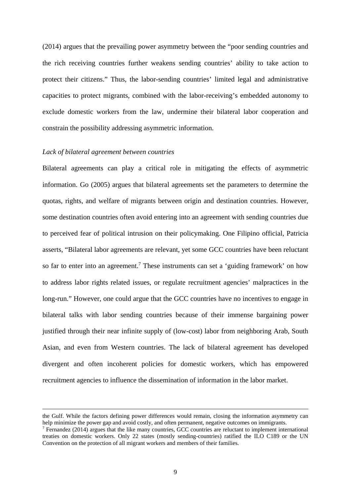(2014) argues that the prevailing power asymmetry between the "poor sending countries and the rich receiving countries further weakens sending countries' ability to take action to protect their citizens." Thus, the labor-sending countries' limited legal and administrative capacities to protect migrants, combined with the labor-receiving's embedded autonomy to exclude domestic workers from the law, undermine their bilateral labor cooperation and constrain the possibility addressing asymmetric information.

#### *Lack of bilateral agreement between countries*

Bilateral agreements can play a critical role in mitigating the effects of asymmetric information. Go (2005) argues that bilateral agreements set the parameters to determine the quotas, rights, and welfare of migrants between origin and destination countries. However, some destination countries often avoid entering into an agreement with sending countries due to perceived fear of political intrusion on their policymaking. One Filipino official, Patricia asserts, "Bilateral labor agreements are relevant, yet some GCC countries have been reluctant so far to enter into an agreement.<sup>7</sup> These instruments can set a 'guiding framework' on how to address labor rights related issues, or regulate recruitment agencies' malpractices in the long-run." However, one could argue that the GCC countries have no incentives to engage in bilateral talks with labor sending countries because of their immense bargaining power justified through their near infinite supply of (low-cost) labor from neighboring Arab, South Asian, and even from Western countries. The lack of bilateral agreement has developed divergent and often incoherent policies for domestic workers, which has empowered recruitment agencies to influence the dissemination of information in the labor market.

the Gulf. While the factors defining power differences would remain, closing the information asymmetry can help minimize the power gap and avoid costly, and often permanent, negative outcomes on immigrants.

<sup>&</sup>lt;sup>7</sup> Fernandez (2014) argues that the like many countries, GCC countries are reluctant to implement international treaties on domestic workers. Only 22 states (mostly sending-countries) ratified the ILO C189 or the UN Convention on the protection of all migrant workers and members of their families.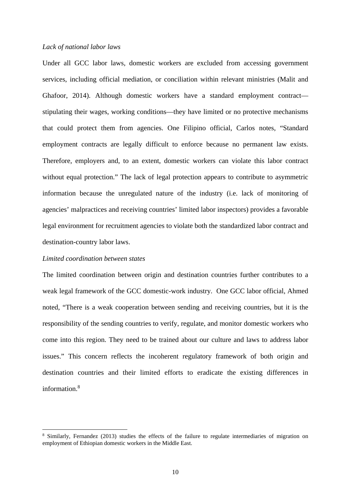#### *Lack of national labor laws*

Under all GCC labor laws, domestic workers are excluded from accessing government services, including official mediation, or conciliation within relevant ministries (Malit and Ghafoor, 2014). Although domestic workers have a standard employment contract stipulating their wages, working conditions—they have limited or no protective mechanisms that could protect them from agencies. One Filipino official, Carlos notes, "Standard employment contracts are legally difficult to enforce because no permanent law exists. Therefore, employers and, to an extent, domestic workers can violate this labor contract without equal protection." The lack of legal protection appears to contribute to asymmetric information because the unregulated nature of the industry (i.e. lack of monitoring of agencies' malpractices and receiving countries' limited labor inspectors) provides a favorable legal environment for recruitment agencies to violate both the standardized labor contract and destination-country labor laws.

#### *Limited coordination between states*

1

The limited coordination between origin and destination countries further contributes to a weak legal framework of the GCC domestic-work industry. One GCC labor official, Ahmed noted, "There is a weak cooperation between sending and receiving countries, but it is the responsibility of the sending countries to verify, regulate, and monitor domestic workers who come into this region. They need to be trained about our culture and laws to address labor issues." This concern reflects the incoherent regulatory framework of both origin and destination countries and their limited efforts to eradicate the existing differences in information.8

<sup>8</sup> Similarly, Fernandez (2013) studies the effects of the failure to regulate intermediaries of migration on employment of Ethiopian domestic workers in the Middle East.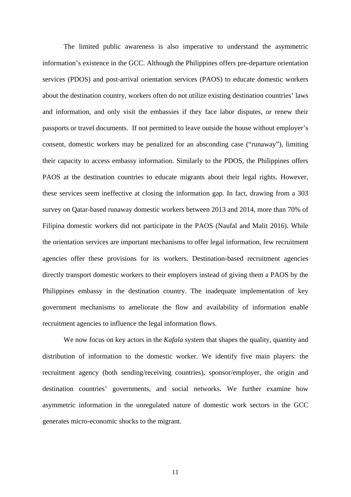The limited public awareness is also imperative to understand the asymmetric information's existence in the GCC. Although the Philippines offers pre-departure orientation services (PDOS) and post-arrival orientation services (PAOS) to educate domestic workers about the destination country, workers often do not utilize existing destination countries' laws and information, and only visit the embassies if they face labor disputes, or renew their passports or travel documents. If not permitted to leave outside the house without employer's consent, domestic workers may be penalized for an absconding case ("runaway"), limiting their capacity to access embassy information. Similarly to the PDOS, the Philippines offers PAOS at the destination countries to educate migrants about their legal rights. However, these services seem ineffective at closing the information gap. In fact, drawing from a 303 survey on Qatar-based runaway domestic workers between 2013 and 2014, more than 70% of Filipina domestic workers did not participate in the PAOS (Naufal and Malit 2016). While the orientation services are important mechanisms to offer legal information, few recruitment agencies offer these provisions for its workers. Destination-based recruitment agencies directly transport domestic workers to their employers instead of giving them a PAOS by the Philippines embassy in the destination country. The inadequate implementation of key government mechanisms to ameliorate the flow and availability of information enable recruitment agencies to influence the legal information flows.

We now focus on key actors in the *Kafala* system that shapes the quality, quantity and distribution of information to the domestic worker. We identify five main players: the recruitment agency (both sending/receiving countries), sponsor/employer, the origin and destination countries' governments, and social networks. We further examine how asymmetric information in the unregulated nature of domestic work sectors in the GCC generates micro-economic shocks to the migrant.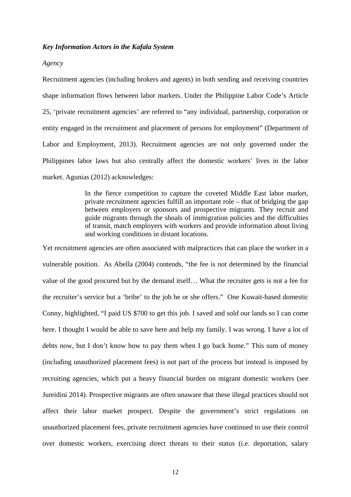#### *Key Information Actors in the Kafala System*

#### *Agency*

Recruitment agencies (including brokers and agents) in both sending and receiving countries shape information flows between labor markets. Under the Philippine Labor Code's Article 25, 'private recruitment agencies' are referred to "any individual, partnership, corporation or entity engaged in the recruitment and placement of persons for employment" (Department of Labor and Employment, 2013). Recruitment agencies are not only governed under the Philippines labor laws but also centrally affect the domestic workers' lives in the labor market. Agunias (2012) acknowledges:

> In the fierce competition to capture the coveted Middle East labor market, private recruitment agencies fulfill an important role – that of bridging the gap between employers or sponsors and prospective migrants. They recruit and guide migrants through the shoals of immigration policies and the difficulties of transit, match employers with workers and provide information about living and working conditions in distant locations.

Yet recruitment agencies are often associated with malpractices that can place the worker in a vulnerable position. As Abella (2004) contends, "the fee is not determined by the financial value of the good procured but by the demand itself… What the recruiter gets is not a fee for the recruiter's service but a 'bribe' to the job he or she offers." One Kuwait-based domestic Conny, highlighted, "I paid US \$700 to get this job. I saved and sold our lands so I can come here. I thought I would be able to save here and help my family. I was wrong. I have a lot of debts now, but I don't know how to pay them when I go back home." This sum of money (including unauthorized placement fees) is not part of the process but instead is imposed by recruiting agencies, which put a heavy financial burden on migrant domestic workers (see Jureidini 2014). Prospective migrants are often unaware that these illegal practices should not affect their labor market prospect. Despite the government's strict regulations on unauthorized placement fees, private recruitment agencies have continued to use their control over domestic workers, exercising direct threats to their status (i.e. deportation, salary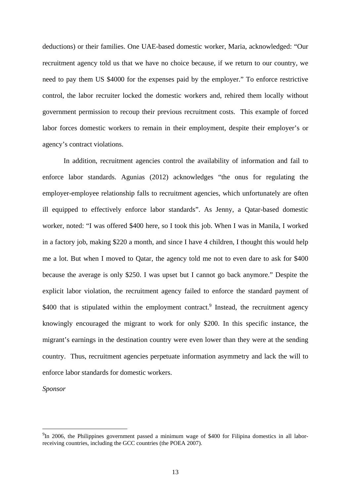deductions) or their families. One UAE-based domestic worker, Maria, acknowledged: "Our recruitment agency told us that we have no choice because, if we return to our country, we need to pay them US \$4000 for the expenses paid by the employer." To enforce restrictive control, the labor recruiter locked the domestic workers and, rehired them locally without government permission to recoup their previous recruitment costs. This example of forced labor forces domestic workers to remain in their employment, despite their employer's or agency's contract violations.

In addition, recruitment agencies control the availability of information and fail to enforce labor standards. Agunias (2012) acknowledges "the onus for regulating the employer-employee relationship falls to recruitment agencies, which unfortunately are often ill equipped to effectively enforce labor standards". As Jenny, a Qatar-based domestic worker, noted: "I was offered \$400 here, so I took this job. When I was in Manila, I worked in a factory job, making \$220 a month, and since I have 4 children, I thought this would help me a lot. But when I moved to Qatar, the agency told me not to even dare to ask for \$400 because the average is only \$250. I was upset but I cannot go back anymore." Despite the explicit labor violation, the recruitment agency failed to enforce the standard payment of \$400 that is stipulated within the employment contract.<sup>9</sup> Instead, the recruitment agency knowingly encouraged the migrant to work for only \$200. In this specific instance, the migrant's earnings in the destination country were even lower than they were at the sending country. Thus, recruitment agencies perpetuate information asymmetry and lack the will to enforce labor standards for domestic workers.

*Sponsor* 

 $9$ In 2006, the Philippines government passed a minimum wage of \$400 for Filipina domestics in all laborreceiving countries, including the GCC countries (the POEA 2007).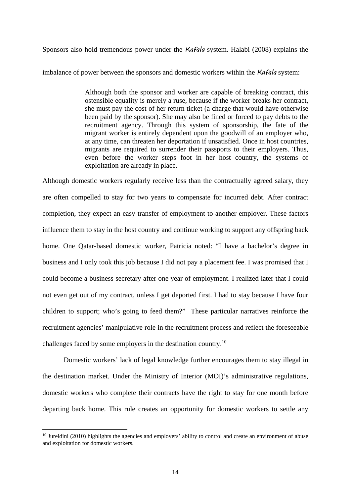Sponsors also hold tremendous power under the Kafala system. Halabi (2008) explains the

imbalance of power between the sponsors and domestic workers within the Kafala system:

Although both the sponsor and worker are capable of breaking contract, this ostensible equality is merely a ruse, because if the worker breaks her contract, she must pay the cost of her return ticket (a charge that would have otherwise been paid by the sponsor). She may also be fined or forced to pay debts to the recruitment agency. Through this system of sponsorship, the fate of the migrant worker is entirely dependent upon the goodwill of an employer who, at any time, can threaten her deportation if unsatisfied. Once in host countries, migrants are required to surrender their passports to their employers. Thus, even before the worker steps foot in her host country, the systems of exploitation are already in place.

Although domestic workers regularly receive less than the contractually agreed salary, they are often compelled to stay for two years to compensate for incurred debt. After contract completion, they expect an easy transfer of employment to another employer. These factors influence them to stay in the host country and continue working to support any offspring back home. One Qatar-based domestic worker, Patricia noted: "I have a bachelor's degree in business and I only took this job because I did not pay a placement fee. I was promised that I could become a business secretary after one year of employment. I realized later that I could not even get out of my contract, unless I get deported first. I had to stay because I have four children to support; who's going to feed them?" These particular narratives reinforce the recruitment agencies' manipulative role in the recruitment process and reflect the foreseeable challenges faced by some employers in the destination country.10

Domestic workers' lack of legal knowledge further encourages them to stay illegal in the destination market. Under the Ministry of Interior (MOI)'s administrative regulations, domestic workers who complete their contracts have the right to stay for one month before departing back home. This rule creates an opportunity for domestic workers to settle any

 $10$  Jureidini (2010) highlights the agencies and employers' ability to control and create an environment of abuse and exploitation for domestic workers.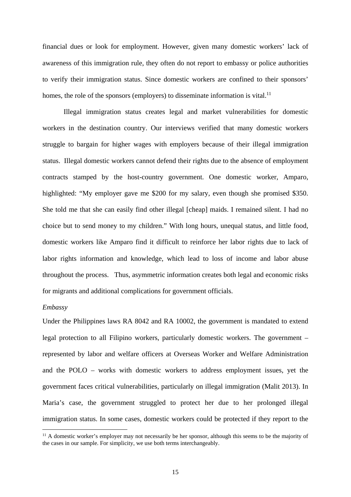financial dues or look for employment. However, given many domestic workers' lack of awareness of this immigration rule, they often do not report to embassy or police authorities to verify their immigration status. Since domestic workers are confined to their sponsors' homes, the role of the sponsors (employers) to disseminate information is vital.<sup>11</sup>

Illegal immigration status creates legal and market vulnerabilities for domestic workers in the destination country. Our interviews verified that many domestic workers struggle to bargain for higher wages with employers because of their illegal immigration status. Illegal domestic workers cannot defend their rights due to the absence of employment contracts stamped by the host-country government. One domestic worker, Amparo, highlighted: "My employer gave me \$200 for my salary, even though she promised \$350. She told me that she can easily find other illegal [cheap] maids. I remained silent. I had no choice but to send money to my children." With long hours, unequal status, and little food, domestic workers like Amparo find it difficult to reinforce her labor rights due to lack of labor rights information and knowledge, which lead to loss of income and labor abuse throughout the process. Thus, asymmetric information creates both legal and economic risks for migrants and additional complications for government officials.

#### *Embassy*

1

Under the Philippines laws RA 8042 and RA 10002, the government is mandated to extend legal protection to all Filipino workers, particularly domestic workers. The government – represented by labor and welfare officers at Overseas Worker and Welfare Administration and the POLO – works with domestic workers to address employment issues, yet the government faces critical vulnerabilities, particularly on illegal immigration (Malit 2013). In Maria's case, the government struggled to protect her due to her prolonged illegal immigration status. In some cases, domestic workers could be protected if they report to the

<sup>&</sup>lt;sup>11</sup> A domestic worker's employer may not necessarily be her sponsor, although this seems to be the majority of the cases in our sample. For simplicity, we use both terms interchangeably.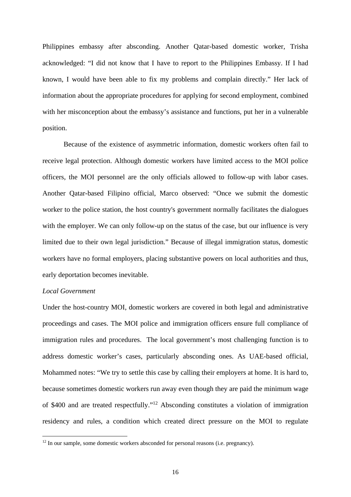Philippines embassy after absconding. Another Qatar-based domestic worker, Trisha acknowledged: "I did not know that I have to report to the Philippines Embassy. If I had known, I would have been able to fix my problems and complain directly." Her lack of information about the appropriate procedures for applying for second employment, combined with her misconception about the embassy's assistance and functions, put her in a vulnerable position.

Because of the existence of asymmetric information, domestic workers often fail to receive legal protection. Although domestic workers have limited access to the MOI police officers, the MOI personnel are the only officials allowed to follow-up with labor cases. Another Qatar-based Filipino official, Marco observed: "Once we submit the domestic worker to the police station, the host country's government normally facilitates the dialogues with the employer. We can only follow-up on the status of the case, but our influence is very limited due to their own legal jurisdiction." Because of illegal immigration status, domestic workers have no formal employers, placing substantive powers on local authorities and thus, early deportation becomes inevitable.

## *Local Government*

1

Under the host-country MOI, domestic workers are covered in both legal and administrative proceedings and cases. The MOI police and immigration officers ensure full compliance of immigration rules and procedures. The local government's most challenging function is to address domestic worker's cases, particularly absconding ones. As UAE-based official, Mohammed notes: "We try to settle this case by calling their employers at home. It is hard to, because sometimes domestic workers run away even though they are paid the minimum wage of \$400 and are treated respectfully."12 Absconding constitutes a violation of immigration residency and rules, a condition which created direct pressure on the MOI to regulate

<sup>&</sup>lt;sup>12</sup> In our sample, some domestic workers absconded for personal reasons (i.e. pregnancy).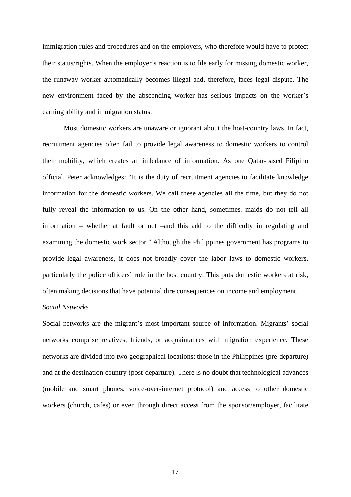immigration rules and procedures and on the employers, who therefore would have to protect their status/rights. When the employer's reaction is to file early for missing domestic worker, the runaway worker automatically becomes illegal and, therefore, faces legal dispute. The new environment faced by the absconding worker has serious impacts on the worker's earning ability and immigration status.

Most domestic workers are unaware or ignorant about the host-country laws. In fact, recruitment agencies often fail to provide legal awareness to domestic workers to control their mobility, which creates an imbalance of information. As one Qatar-based Filipino official, Peter acknowledges: "It is the duty of recruitment agencies to facilitate knowledge information for the domestic workers. We call these agencies all the time, but they do not fully reveal the information to us. On the other hand, sometimes, maids do not tell all information – whether at fault or not –and this add to the difficulty in regulating and examining the domestic work sector." Although the Philippines government has programs to provide legal awareness, it does not broadly cover the labor laws to domestic workers, particularly the police officers' role in the host country. This puts domestic workers at risk, often making decisions that have potential dire consequences on income and employment.

## *Social Networks*

Social networks are the migrant's most important source of information. Migrants' social networks comprise relatives, friends, or acquaintances with migration experience. These networks are divided into two geographical locations: those in the Philippines (pre-departure) and at the destination country (post-departure). There is no doubt that technological advances (mobile and smart phones, voice-over-internet protocol) and access to other domestic workers (church, cafes) or even through direct access from the sponsor/employer, facilitate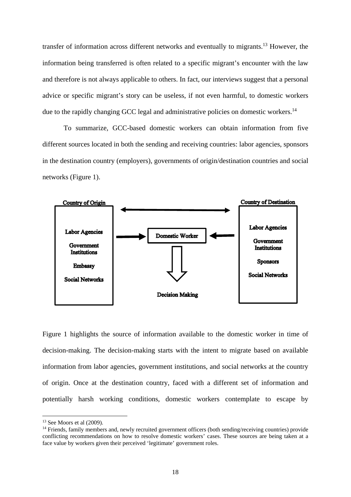transfer of information across different networks and eventually to migrants.13 However, the information being transferred is often related to a specific migrant's encounter with the law and therefore is not always applicable to others. In fact, our interviews suggest that a personal advice or specific migrant's story can be useless, if not even harmful, to domestic workers due to the rapidly changing GCC legal and administrative policies on domestic workers.<sup>14</sup>

 To summarize, GCC-based domestic workers can obtain information from five different sources located in both the sending and receiving countries: labor agencies, sponsors in the destination country (employers), governments of origin/destination countries and social networks (Figure 1).



Figure 1 highlights the source of information available to the domestic worker in time of decision-making. The decision-making starts with the intent to migrate based on available information from labor agencies, government institutions, and social networks at the country of origin. Once at the destination country, faced with a different set of information and potentially harsh working conditions, domestic workers contemplate to escape by

 $13$  See Moors et al  $(2009)$ .

<sup>&</sup>lt;sup>14</sup> Friends, family members and, newly recruited government officers (both sending/receiving countries) provide conflicting recommendations on how to resolve domestic workers' cases. These sources are being taken at a face value by workers given their perceived 'legitimate' government roles.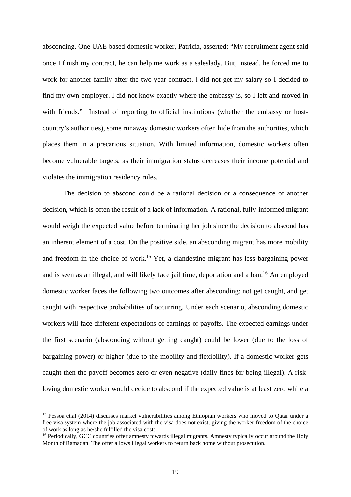absconding. One UAE-based domestic worker, Patricia, asserted: "My recruitment agent said once I finish my contract, he can help me work as a saleslady. But, instead, he forced me to work for another family after the two-year contract. I did not get my salary so I decided to find my own employer. I did not know exactly where the embassy is, so I left and moved in with friends." Instead of reporting to official institutions (whether the embassy or hostcountry's authorities), some runaway domestic workers often hide from the authorities, which places them in a precarious situation. With limited information, domestic workers often become vulnerable targets, as their immigration status decreases their income potential and violates the immigration residency rules.

The decision to abscond could be a rational decision or a consequence of another decision, which is often the result of a lack of information. A rational, fully-informed migrant would weigh the expected value before terminating her job since the decision to abscond has an inherent element of a cost. On the positive side, an absconding migrant has more mobility and freedom in the choice of work.<sup>15</sup> Yet, a clandestine migrant has less bargaining power and is seen as an illegal, and will likely face jail time, deportation and a ban.<sup>16</sup> An employed domestic worker faces the following two outcomes after absconding: not get caught, and get caught with respective probabilities of occurring. Under each scenario, absconding domestic workers will face different expectations of earnings or payoffs. The expected earnings under the first scenario (absconding without getting caught) could be lower (due to the loss of bargaining power) or higher (due to the mobility and flexibility). If a domestic worker gets caught then the payoff becomes zero or even negative (daily fines for being illegal). A riskloving domestic worker would decide to abscond if the expected value is at least zero while a

<sup>&</sup>lt;sup>15</sup> Pessoa et.al (2014) discusses market vulnerabilities among Ethiopian workers who moved to Qatar under a free visa system where the job associated with the visa does not exist, giving the worker freedom of the choice of work as long as he/she fulfilled the visa costs.

<sup>&</sup>lt;sup>16</sup> Periodically, GCC countries offer amnesty towards illegal migrants. Amnesty typically occur around the Holy Month of Ramadan. The offer allows illegal workers to return back home without prosecution.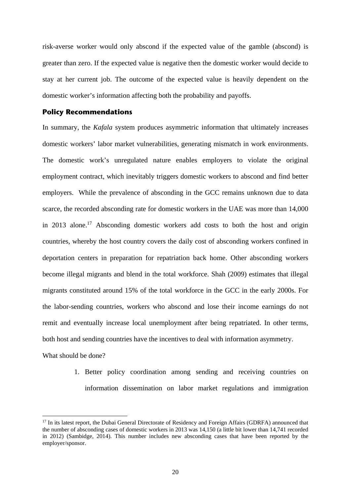risk-averse worker would only abscond if the expected value of the gamble (abscond) is greater than zero. If the expected value is negative then the domestic worker would decide to stay at her current job. The outcome of the expected value is heavily dependent on the domestic worker's information affecting both the probability and payoffs.

## **Policy Recommendations**

1

In summary, the *Kafala* system produces asymmetric information that ultimately increases domestic workers' labor market vulnerabilities, generating mismatch in work environments. The domestic work's unregulated nature enables employers to violate the original employment contract, which inevitably triggers domestic workers to abscond and find better employers. While the prevalence of absconding in the GCC remains unknown due to data scarce, the recorded absconding rate for domestic workers in the UAE was more than 14,000 in 2013 alone.<sup>17</sup> Absconding domestic workers add costs to both the host and origin countries, whereby the host country covers the daily cost of absconding workers confined in deportation centers in preparation for repatriation back home. Other absconding workers become illegal migrants and blend in the total workforce. Shah (2009) estimates that illegal migrants constituted around 15% of the total workforce in the GCC in the early 2000s. For the labor-sending countries, workers who abscond and lose their income earnings do not remit and eventually increase local unemployment after being repatriated. In other terms, both host and sending countries have the incentives to deal with information asymmetry. What should be done?

> 1. Better policy coordination among sending and receiving countries on information dissemination on labor market regulations and immigration

<sup>&</sup>lt;sup>17</sup> In its latest report, the Dubai General Directorate of Residency and Foreign Affairs (GDRFA) announced that the number of absconding cases of domestic workers in 2013 was 14,150 (a little bit lower than 14,741 recorded in 2012) (Sambidge, 2014). This number includes new absconding cases that have been reported by the employer/sponsor.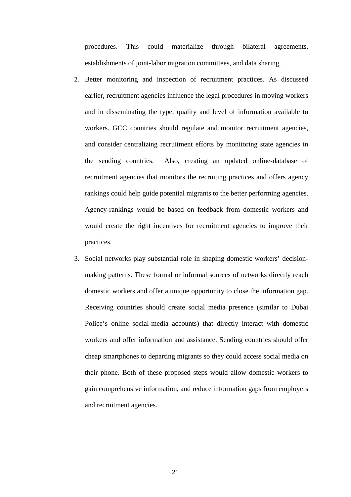procedures. This could materialize through bilateral agreements, establishments of joint-labor migration committees, and data sharing.

- 2. Better monitoring and inspection of recruitment practices. As discussed earlier, recruitment agencies influence the legal procedures in moving workers and in disseminating the type, quality and level of information available to workers. GCC countries should regulate and monitor recruitment agencies, and consider centralizing recruitment efforts by monitoring state agencies in the sending countries. Also, creating an updated online-database of recruitment agencies that monitors the recruiting practices and offers agency rankings could help guide potential migrants to the better performing agencies. Agency-rankings would be based on feedback from domestic workers and would create the right incentives for recruitment agencies to improve their practices.
- 3. Social networks play substantial role in shaping domestic workers' decisionmaking patterns. These formal or informal sources of networks directly reach domestic workers and offer a unique opportunity to close the information gap. Receiving countries should create social media presence (similar to Dubai Police's online social-media accounts) that directly interact with domestic workers and offer information and assistance. Sending countries should offer cheap smartphones to departing migrants so they could access social media on their phone. Both of these proposed steps would allow domestic workers to gain comprehensive information, and reduce information gaps from employers and recruitment agencies.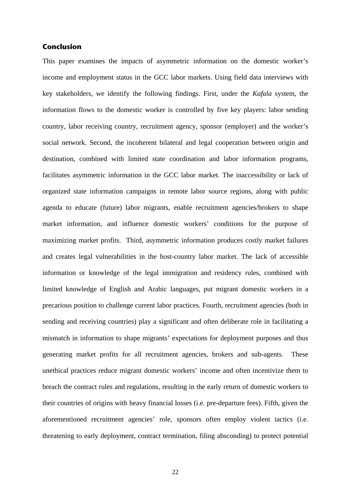## **Conclusion**

This paper examines the impacts of asymmetric information on the domestic worker's income and employment status in the GCC labor markets. Using field data interviews with key stakeholders, we identify the following findings. First, under the *Kafala* system, the information flows to the domestic worker is controlled by five key players: labor sending country, labor receiving country, recruitment agency, sponsor (employer) and the worker's social network. Second, the incoherent bilateral and legal cooperation between origin and destination, combined with limited state coordination and labor information programs, facilitates asymmetric information in the GCC labor market. The inaccessibility or lack of organized state information campaigns in remote labor source regions, along with public agenda to educate (future) labor migrants, enable recruitment agencies/brokers to shape market information, and influence domestic workers' conditions for the purpose of maximizing market profits. Third, asymmetric information produces costly market failures and creates legal vulnerabilities in the host-country labor market. The lack of accessible information or knowledge of the legal immigration and residency rules, combined with limited knowledge of English and Arabic languages, put migrant domestic workers in a precarious position to challenge current labor practices. Fourth, recruitment agencies (both in sending and receiving countries) play a significant and often deliberate role in facilitating a mismatch in information to shape migrants' expectations for deployment purposes and thus generating market profits for all recruitment agencies, brokers and sub-agents. These unethical practices reduce migrant domestic workers' income and often incentivize them to breach the contract rules and regulations, resulting in the early return of domestic workers to their countries of origins with heavy financial losses (i.e. pre-departure fees). Fifth, given the aforementioned recruitment agencies' role, sponsors often employ violent tactics (i.e. threatening to early deployment, contract termination, filing absconding) to protect potential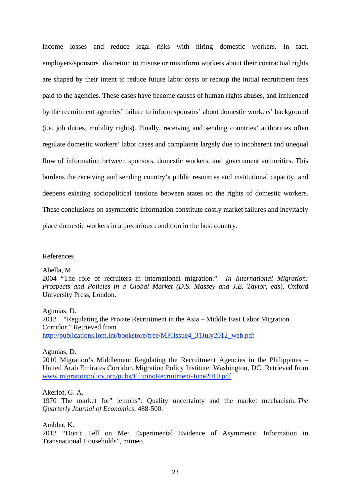income losses and reduce legal risks with hiring domestic workers. In fact, employers/sponsors' discretion to misuse or misinform workers about their contractual rights are shaped by their intent to reduce future labor costs or recoup the initial recruitment fees paid to the agencies. These cases have become causes of human rights abuses, and influenced by the recruitment agencies' failure to inform sponsors' about domestic workers' background (i.e. job duties, mobility rights). Finally, receiving and sending countries' authorities often regulate domestic workers' labor cases and complaints largely due to incoherent and unequal flow of information between sponsors, domestic workers, and government authorities. This burdens the receiving and sending country's public resources and institutional capacity, and deepens existing sociopolitical tensions between states on the rights of domestic workers. These conclusions on asymmetric information constitute costly market failures and inevitably place domestic workers in a precarious condition in the host country.

#### References

Abella, M.

2004 "The role of recruiters in international migration." *In International Migration: Prospects and Policies in a Global Market (D.S. Massey and J.E. Taylor, eds*). Oxford University Press, London.

Agunias, D.

2012 "Regulating the Private Recruitment in the Asia – Middle East Labor Migration Corridor." Retrieved from http://publications.iom.int/bookstore/free/MPIIssue4\_31July2012\_web.pdf

Agunias, D.

2010 Migration's Middlemen: Regulating the Recruitment Agencies in the Philippines – United Arab Emirates Corridor. Migration Policy Institute: Washington, DC. Retrieved from www.migrationpolicy.org/pubs/FilipinoRecruitment-June2010.pdf

## Akerlof, G. A.

1970 The market for" lemons": Quality uncertainty and the market mechanism. *The Quarterly Journal of Economics,* 488-500.

Ambler, K.

2012 "Don't Tell on Me: Experimental Evidence of Asymmetric Information in Transnational Households", mimeo.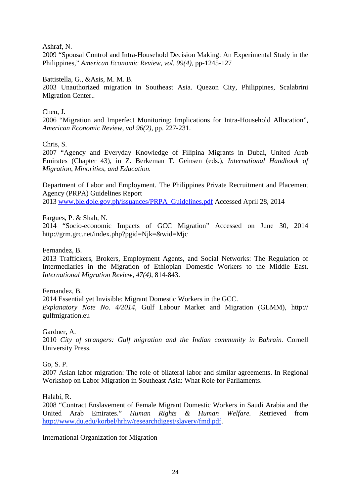Ashraf, N.

2009 "Spousal Control and Intra-Household Decision Making: An Experimental Study in the Philippines," *American Economic Review, vol. 99(4),* pp-1245-127

## Battistella, G., &Asis, M. M. B.

2003 Unauthorized migration in Southeast Asia. Quezon City, Philippines, Scalabrini Migration Center..

## Chen, J.

2006 "Migration and Imperfect Monitoring: Implications for Intra-Household Allocation", *American Economic Review, vol 96(2),* pp. 227-231.

## Chris, S.

2007 "Agency and Everyday Knowledge of Filipina Migrants in Dubai, United Arab Emirates (Chapter 43), in Z. Berkeman T. Geinsen (eds.), *International Handbook of Migration, Minorities, and Education.*

Department of Labor and Employment. The Philippines Private Recruitment and Placement Agency (PRPA) Guidelines Report

2013 www.ble.dole.gov.ph/issuances/PRPA\_Guidelines.pdf Accessed April 28, 2014

Fargues, P. & Shah, N.

2014 "Socio-economic Impacts of GCC Migration" Accessed on June 30, 2014 http://grm.grc.net/index.php?pgid=Njk=&wid=Mjc

Fernandez, B.

2013 Traffickers, Brokers, Employment Agents, and Social Networks: The Regulation of Intermediaries in the Migration of Ethiopian Domestic Workers to the Middle East. *International Migration Review, 47(4),* 814-843.

Fernandez, B.

2014 Essential yet Invisible: Migrant Domestic Workers in the GCC. *Explanatory Note No. 4/2014,* Gulf Labour Market and Migration (GLMM), http:// gulfmigration.eu

Gardner, A.

2010 *City of strangers: Gulf migration and the Indian community in Bahrain.* Cornell University Press.

Go, S. P.

2007 Asian labor migration: The role of bilateral labor and similar agreements. In Regional Workshop on Labor Migration in Southeast Asia: What Role for Parliaments.

Halabi, R.

2008 "Contract Enslavement of Female Migrant Domestic Workers in Saudi Arabia and the United Arab Emirates." *Human Rights & Human Welfare.* Retrieved from http://www.du.edu/korbel/hrhw/researchdigest/slavery/fmd.pdf.

International Organization for Migration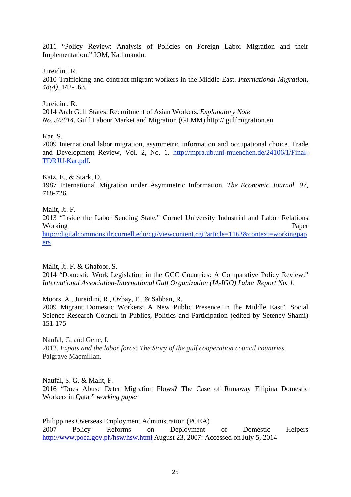2011 "Policy Review: Analysis of Policies on Foreign Labor Migration and their Implementation," IOM, Kathmandu.

Jureidini, R.

2010 Trafficking and contract migrant workers in the Middle East. *International Migration, 48(4),* 142-163.

Jureidini, R.

2014 Arab Gulf States: Recruitment of Asian Workers. *Explanatory Note No. 3/2014*, Gulf Labour Market and Migration (GLMM) http:// gulfmigration.eu

Kar, S.

2009 International labor migration, asymmetric information and occupational choice. Trade and Development Review, Vol. 2, No. 1. http://mpra.ub.uni-muenchen.de/24106/1/Final-TDRJU-Kar.pdf.

Katz, E., & Stark, O.

1987 International Migration under Asymmetric Information. *The Economic Journal. 97*, 718-726.

Malit, Jr. F.

2013 "Inside the Labor Sending State." Cornel University Industrial and Labor Relations Working Paper http://digitalcommons.ilr.cornell.edu/cgi/viewcontent.cgi?article=1163&context=workingpap ers

Malit, Jr. F. & Ghafoor, S. 2014 "Domestic Work Legislation in the GCC Countries: A Comparative Policy Review." *International Association-International Gulf Organization (IA-IGO) Labor Report No. 1.* 

Moors, A., Jureidini, R., Özbay, F., & Sabban, R. 2009 Migrant Domestic Workers: A New Public Presence in the Middle East". Social Science Research Council in Publics, Politics and Participation (edited by Seteney Shami) 151-175

Naufal, G, and Genc, I. 2012. *Expats and the labor force: The Story of the gulf cooperation council countries.* Palgrave Macmillan,

Naufal, S. G. & Malit, F. 2016 "Does Abuse Deter Migration Flows? The Case of Runaway Filipina Domestic Workers in Qatar" *working paper*

Philippines Overseas Employment Administration (POEA) 2007 Policy Reforms on Deployment of Domestic Helpers http://www.poea.gov.ph/hsw/hsw.html August 23, 2007: Accessed on July 5, 2014